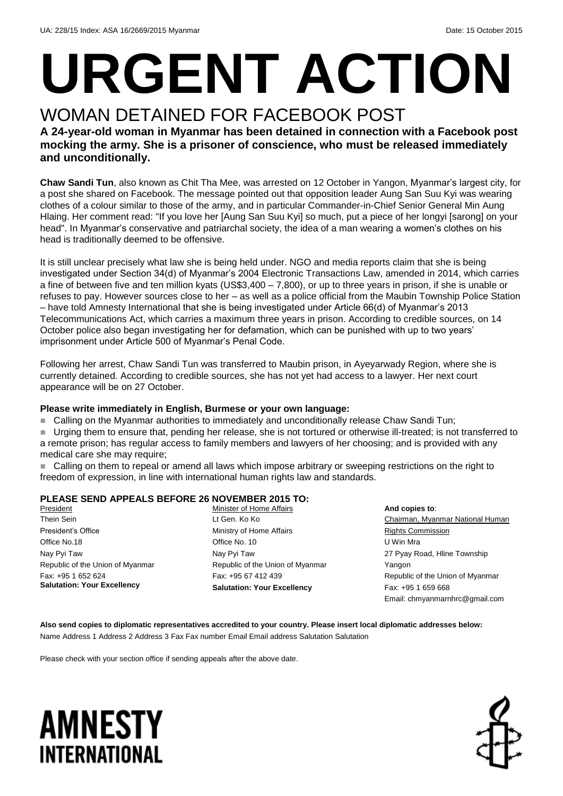# **URGENT ACTION**

## WOMAN DETAINED FOR FACEBOOK POST

#### **A 24-year-old woman in Myanmar has been detained in connection with a Facebook post mocking the army. She is a prisoner of conscience, who must be released immediately and unconditionally.**

**Chaw Sandi Tun**, also known as Chit Tha Mee, was arrested on 12 October in Yangon, Myanmar's largest city, for a post she shared on Facebook. The message pointed out that opposition leader Aung San Suu Kyi was wearing clothes of a colour similar to those of the army, and in particular Commander-in-Chief Senior General Min Aung Hlaing. Her comment read: "If you love her [Aung San Suu Kyi] so much, put a piece of her longyi [sarong] on your head". In Myanmar's conservative and patriarchal society, the idea of a man wearing a women's clothes on his head is traditionally deemed to be offensive.

It is still unclear precisely what law she is being held under. NGO and media reports claim that she is being investigated under Section 34(d) of Myanmar's 2004 Electronic Transactions Law, amended in 2014, which carries a fine of between five and ten million kyats (US\$3,400 – 7,800), or up to three years in prison, if she is unable or refuses to pay. However sources close to her – as well as a police official from the Maubin Township Police Station – have told Amnesty International that she is being investigated under Article 66(d) of Myanmar's 2013 Telecommunications Act, which carries a maximum three years in prison. According to credible sources, on 14 October police also began investigating her for defamation, which can be punished with up to two years' imprisonment under Article 500 of Myanmar's Penal Code.

Following her arrest, Chaw Sandi Tun was transferred to Maubin prison, in Ayeyarwady Region, where she is currently detained. According to credible sources, she has not yet had access to a lawyer. Her next court appearance will be on 27 October.

#### **Please write immediately in English, Burmese or your own language:**

■ Calling on the Myanmar authorities to immediately and unconditionally release Chaw Sandi Tun;

 Urging them to ensure that, pending her release, she is not tortured or otherwise ill-treated; is not transferred to a remote prison; has regular access to family members and lawyers of her choosing; and is provided with any medical care she may require;

 Calling on them to repeal or amend all laws which impose arbitrary or sweeping restrictions on the right to freedom of expression, in line with international human rights law and standards.

#### **PLEASE SEND APPEALS BEFORE 26 NOVEMBER 2015 TO:**

President Thein Sein President's Office Office No.18 Nay Pyi Taw Republic of the Union of Myanmar Fax: +95 1 652 624 **Salutation: Your Excellency**

Minister of Home Affairs Lt Gen. Ko Ko Ministry of Home Affairs Office No. 10 Nay Pyi Taw Republic of the Union of Myanmar Fax: +95 67 412 439 **Salutation: Your Excellency**

**And copies to**: Chairman, Myanmar National Human Rights Commission U Win Mra 27 Pyay Road, Hline Township Yangon Republic of the Union of Myanmar Fax: +95 1 659 668 Email: chmyanmarnhrc@gmail.com

**Also send copies to diplomatic representatives accredited to your country. Please insert local diplomatic addresses below:** Name Address 1 Address 2 Address 3 Fax Fax number Email Email address Salutation Salutation

Please check with your section office if sending appeals after the above date.